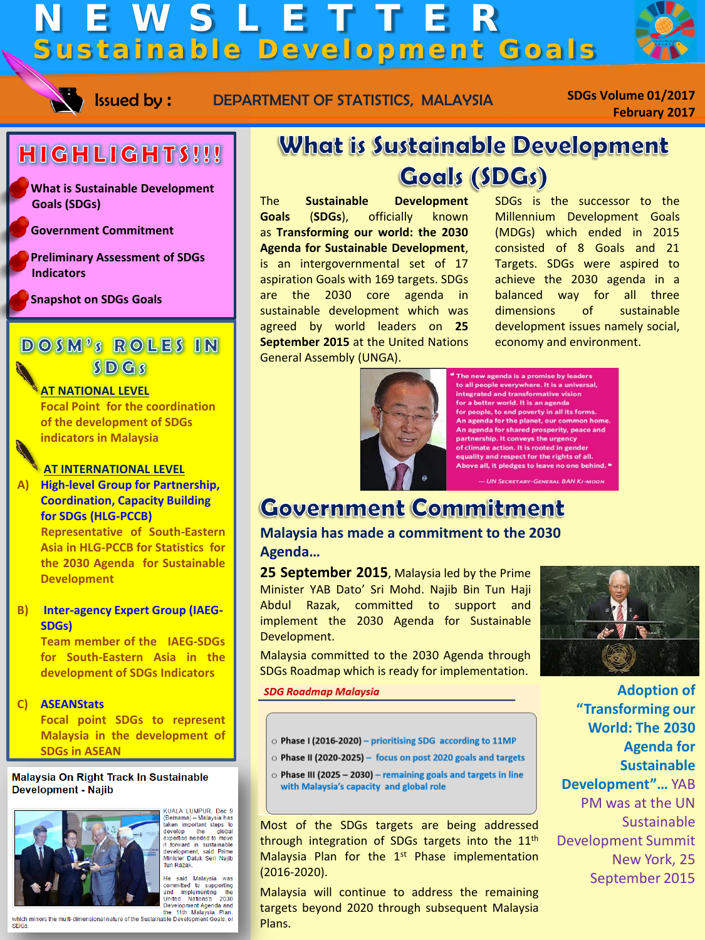# NEWSLETTER Sustainable Development Goals



Issued by: DEPARTMENT OF STATISTICS, MALAYSIA

**SDGs Volume 01/2017 February 2017**

### HIGHLIGHTS!!!

o **What is Sustainable Development Goals (SDGs)** 

o **Government Commitment**

o **Preliminary Assessment of SDGs Indicators**

o **Snapshot on SDGs Goals**

### DOSM'S ROLES IN  $S<sub>D</sub>$  Gs

#### **AT NATIONAL LEVEL**

 **Focal Point for the coordination of the development of SDGs indicators in Malaysia**

#### **AT INTERNATIONAL LEVEL**

**A) High-level Group for Partnership, Coordination, Capacity Building for SDGs (HLG-PCCB)**

> **Representative of South-Eastern Asia in HLG-PCCB for Statistics for the 2030 Agenda for Sustainable Development**

#### **B) Inter-agency Expert Group (IAEG-SDGs)**

**Team member of the IAEG-SDGs for South-Eastern Asia in the development of SDGs Indicators**

#### **C) ASEANStats**

**Focal point SDGs to represent Malaysia in the development of SDGs in ASEAN**

#### Malaysia On Right Track In Sustainable **Development - Najib**



KUALA LUMPUR, Dec 9<br>(Bernama) -- Malaysia has<br>taken important steps to<br>develop the global<br>expertise needed to move<br>trivard in sustainable<br>development, said Prime<br>Minister Datuk Seri Najib<br>Minister Datuk Seri Najib mmətər<br>Tun Razak

He said Malaysia was<br>committed to supporting<br>and implementing the<br>United Nations's 2030

### **What is Sustainable Development Goals (SDGs)**

The **Sustainable Development Goals** (**SDGs**), officially known as **Transforming our world: the 2030 Agenda for Sustainable Development**, is an intergovernmental set of 17 aspiration Goals with 169 targets. SDGs are the 2030 core agenda in sustainable development which was agreed by world leaders on **25 September 2015** at the United Nations General Assembly (UNGA).

SDGs is the successor to the Millennium Development Goals (MDGs) which ended in 2015 consisted of 8 Goals and 21 Targets. SDGs were aspired to achieve the 2030 agenda in a balanced way for all three dimensions of sustainable development issues namely social, economy and environment.



The new agenda is a promise by leaders to all people everywhere. It is a universal, integrated and transformative vision for a better world. It is an agenda for people, to end poverty in all its forms.<br>An agenda for the planet, our common hor An agenda for shared prosperity, peace and partnership. It conveys the urgency of climate action. It is rooted in gende equality and respect for the rights of all. Above all, it pledges to leave no one behind. \* - UN SECRETARY-GENERAL BAN KI-MOOL

## **Government Commitment**

**Malaysia has made a commitment to the 2030 Agenda…**

**25 September 2015**, Malaysia led by the Prime Minister YAB Dato' Sri Mohd. Najib Bin Tun Haji Abdul Razak, committed to support and implement the 2030 Agenda for Sustainable Development.

Malaysia committed to the 2030 Agenda through SDGs Roadmap which is ready for implementation.

**SDG Roadmap Malaysia** 

- $\circ$  Phase I (2016-2020) prioritising SDG according to 11MP
- $\circ$  Phase II (2020-2025) focus on post 2020 goals and targets
- $\circ$  Phase III (2025 2030) remaining goals and targets in line with Malaysia's capacity and global role

Most of the SDGs targets are being addressed through integration of SDGs targets into the 11<sup>th</sup> Malaysia Plan for the 1<sup>st</sup> Phase implementation (2016-2020).

Malaysia will continue to address the remaining targets beyond 2020 through subsequent Malaysia Plans.



**Adoption of "Transforming our World: The 2030 Agenda for Sustainable Development"…** YAB PM was at the UN **Sustainable** Development Summit New York, 25 September 2015